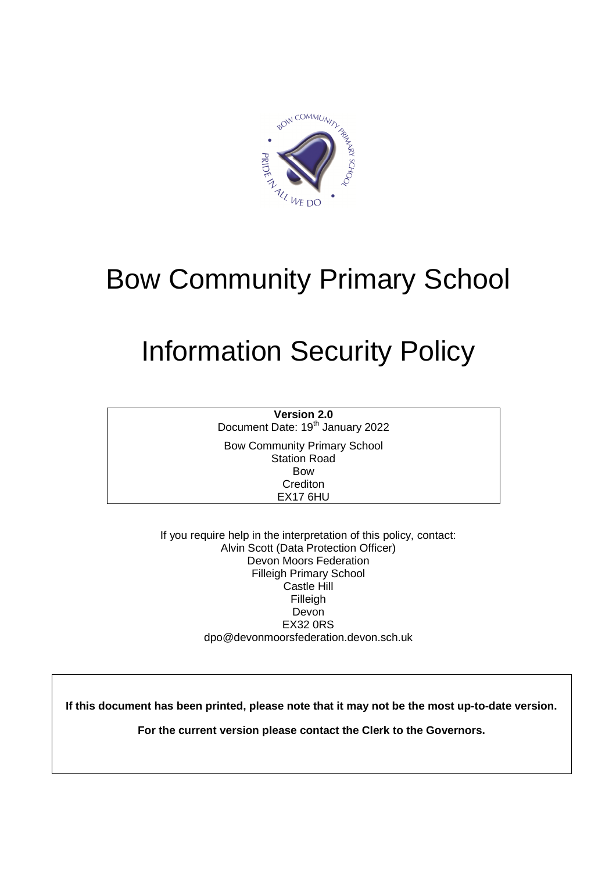

# Bow Community Primary School

# Information Security Policy

**Version 2.0** Document Date: 19<sup>th</sup> January 2022

Bow Community Primary School Station Road Bow **Crediton** EX17 6HU

If you require help in the interpretation of this policy, contact: Alvin Scott (Data Protection Officer) Devon Moors Federation Filleigh Primary School Castle Hill Filleigh Devon EX32 0RS dpo@devonmoorsfederation.devon.sch.uk

**If this document has been printed, please note that it may not be the most up-to-date version.** 

**For the current version please contact the Clerk to the Governors.**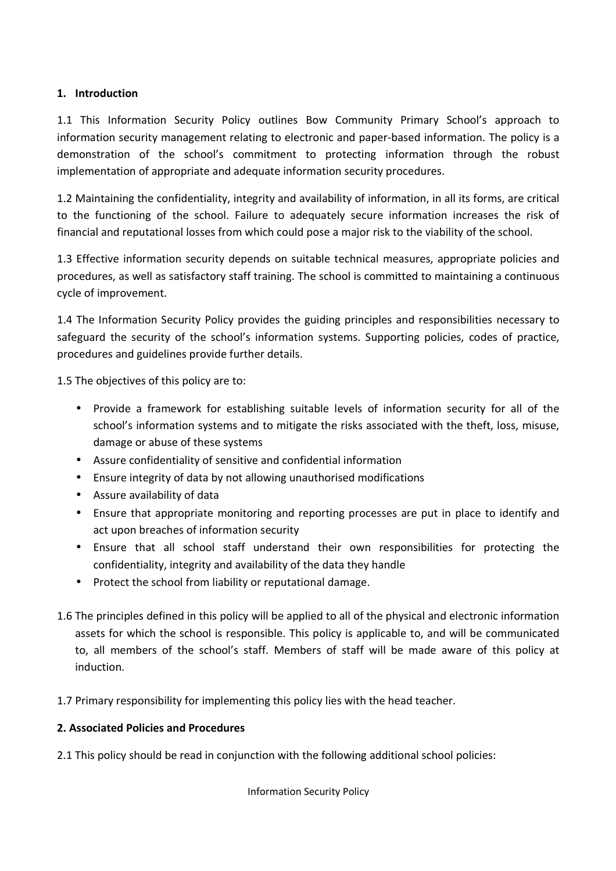## **1. Introduction**

1.1 This Information Security Policy outlines Bow Community Primary School's approach to information security management relating to electronic and paper-based information. The policy is a demonstration of the school's commitment to protecting information through the robust implementation of appropriate and adequate information security procedures.

1.2 Maintaining the confidentiality, integrity and availability of information, in all its forms, are critical to the functioning of the school. Failure to adequately secure information increases the risk of financial and reputational losses from which could pose a major risk to the viability of the school.

1.3 Effective information security depends on suitable technical measures, appropriate policies and procedures, as well as satisfactory staff training. The school is committed to maintaining a continuous cycle of improvement.

1.4 The Information Security Policy provides the guiding principles and responsibilities necessary to safeguard the security of the school's information systems. Supporting policies, codes of practice, procedures and guidelines provide further details.

1.5 The objectives of this policy are to:

- Provide a framework for establishing suitable levels of information security for all of the school's information systems and to mitigate the risks associated with the theft, loss, misuse, damage or abuse of these systems
- Assure confidentiality of sensitive and confidential information
- Ensure integrity of data by not allowing unauthorised modifications
- Assure availability of data
- Ensure that appropriate monitoring and reporting processes are put in place to identify and act upon breaches of information security
- Ensure that all school staff understand their own responsibilities for protecting the confidentiality, integrity and availability of the data they handle
- Protect the school from liability or reputational damage.
- 1.6 The principles defined in this policy will be applied to all of the physical and electronic information assets for which the school is responsible. This policy is applicable to, and will be communicated to, all members of the school's staff. Members of staff will be made aware of this policy at induction.

1.7 Primary responsibility for implementing this policy lies with the head teacher.

### **2. Associated Policies and Procedures**

2.1 This policy should be read in conjunction with the following additional school policies: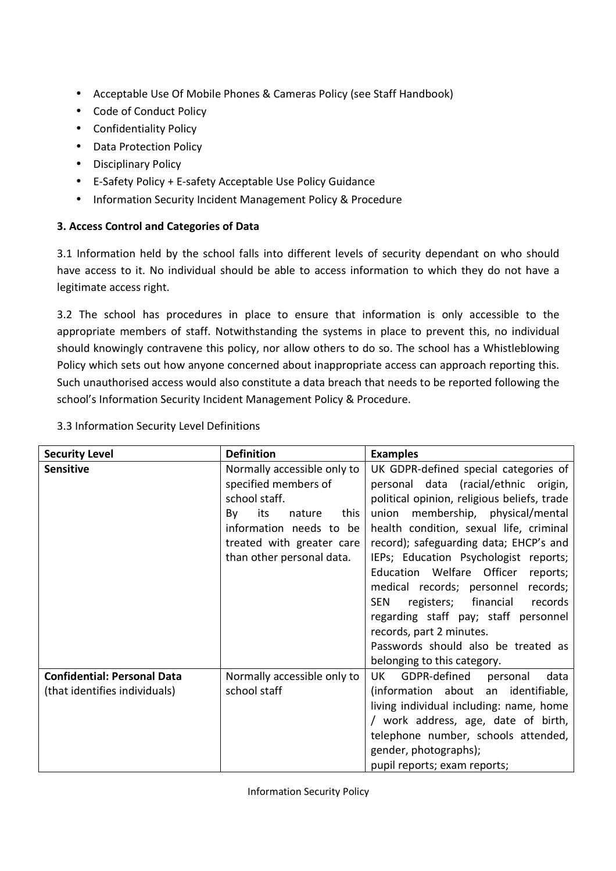- Acceptable Use Of Mobile Phones & Cameras Policy (see Staff Handbook)
- Code of Conduct Policy
- Confidentiality Policy
- Data Protection Policy
- Disciplinary Policy
- E-Safety Policy + E-safety Acceptable Use Policy Guidance
- Information Security Incident Management Policy & Procedure

# **3. Access Control and Categories of Data**

3.1 Information held by the school falls into different levels of security dependant on who should have access to it. No individual should be able to access information to which they do not have a legitimate access right.

3.2 The school has procedures in place to ensure that information is only accessible to the appropriate members of staff. Notwithstanding the systems in place to prevent this, no individual should knowingly contravene this policy, nor allow others to do so. The school has a Whistleblowing Policy which sets out how anyone concerned about inappropriate access can approach reporting this. Such unauthorised access would also constitute a data breach that needs to be reported following the school's Information Security Incident Management Policy & Procedure.

| <b>Security Level</b>                                               | <b>Definition</b>                                                                                                                                                                        | <b>Examples</b>                                                                                                                                                                                                                                                                                                                                                                                                                                                                                                                                                           |  |  |
|---------------------------------------------------------------------|------------------------------------------------------------------------------------------------------------------------------------------------------------------------------------------|---------------------------------------------------------------------------------------------------------------------------------------------------------------------------------------------------------------------------------------------------------------------------------------------------------------------------------------------------------------------------------------------------------------------------------------------------------------------------------------------------------------------------------------------------------------------------|--|--|
| <b>Sensitive</b>                                                    | Normally accessible only to<br>specified members of<br>school staff.<br>this<br>its<br>nature<br>By<br>information needs to be<br>treated with greater care<br>than other personal data. | UK GDPR-defined special categories of<br>personal data (racial/ethnic origin,<br>political opinion, religious beliefs, trade<br>membership, physical/mental<br>union<br>health condition, sexual life, criminal<br>record); safeguarding data; EHCP's and<br>IEPs; Education Psychologist reports;<br>Education Welfare Officer<br>reports;<br>medical records; personnel records;<br>financial<br>records<br>SEN<br>registers;<br>regarding staff pay; staff personnel<br>records, part 2 minutes.<br>Passwords should also be treated as<br>belonging to this category. |  |  |
| <b>Confidential: Personal Data</b><br>(that identifies individuals) | Normally accessible only to<br>school staff                                                                                                                                              | GDPR-defined<br>data<br>UK I<br>personal<br>(information about an identifiable,<br>living individual including: name, home<br>/ work address, age, date of birth,<br>telephone number, schools attended,<br>gender, photographs);<br>pupil reports; exam reports;                                                                                                                                                                                                                                                                                                         |  |  |

# 3.3 Information Security Level Definitions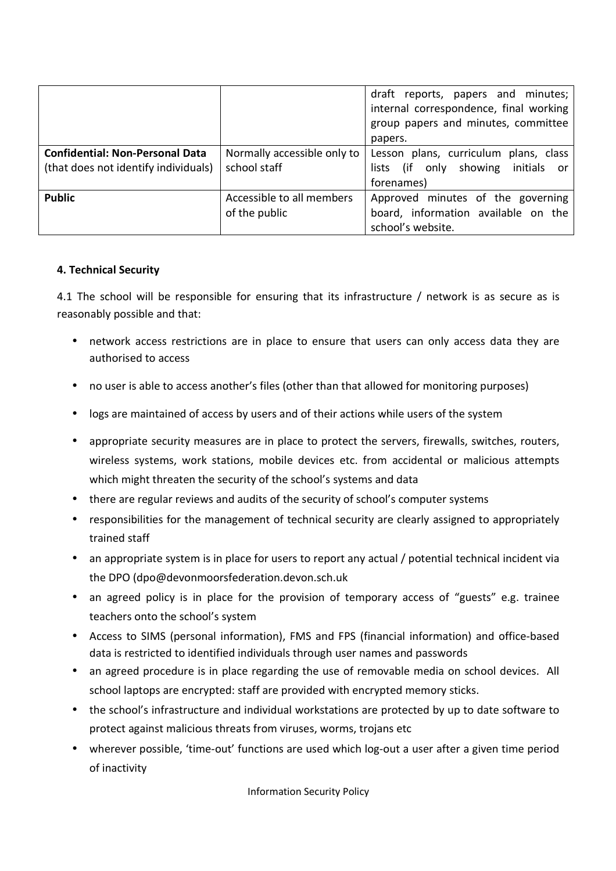|                                        |                             | draft reports, papers and minutes;<br>internal correspondence, final working<br>group papers and minutes, committee<br>papers. |  |
|----------------------------------------|-----------------------------|--------------------------------------------------------------------------------------------------------------------------------|--|
| <b>Confidential: Non-Personal Data</b> | Normally accessible only to | Lesson plans, curriculum plans, class                                                                                          |  |
| (that does not identify individuals)   | school staff                | (if only showing initials or<br>lists                                                                                          |  |
|                                        |                             | forenames)                                                                                                                     |  |
| <b>Public</b>                          | Accessible to all members   | Approved minutes of the governing                                                                                              |  |
|                                        | of the public               | board, information available on the                                                                                            |  |
|                                        |                             | school's website.                                                                                                              |  |

### **4. Technical Security**

4.1 The school will be responsible for ensuring that its infrastructure / network is as secure as is reasonably possible and that:

- network access restrictions are in place to ensure that users can only access data they are authorised to access
- no user is able to access another's files (other than that allowed for monitoring purposes)
- logs are maintained of access by users and of their actions while users of the system
- appropriate security measures are in place to protect the servers, firewalls, switches, routers, wireless systems, work stations, mobile devices etc. from accidental or malicious attempts which might threaten the security of the school's systems and data
- there are regular reviews and audits of the security of school's computer systems
- responsibilities for the management of technical security are clearly assigned to appropriately trained staff
- an appropriate system is in place for users to report any actual / potential technical incident via the DPO (dpo@devonmoorsfederation.devon.sch.uk
- an agreed policy is in place for the provision of temporary access of "guests" e.g. trainee teachers onto the school's system
- Access to SIMS (personal information), FMS and FPS (financial information) and office-based data is restricted to identified individuals through user names and passwords
- an agreed procedure is in place regarding the use of removable media on school devices. All school laptops are encrypted: staff are provided with encrypted memory sticks.
- the school's infrastructure and individual workstations are protected by up to date software to protect against malicious threats from viruses, worms, trojans etc
- wherever possible, 'time-out' functions are used which log-out a user after a given time period of inactivity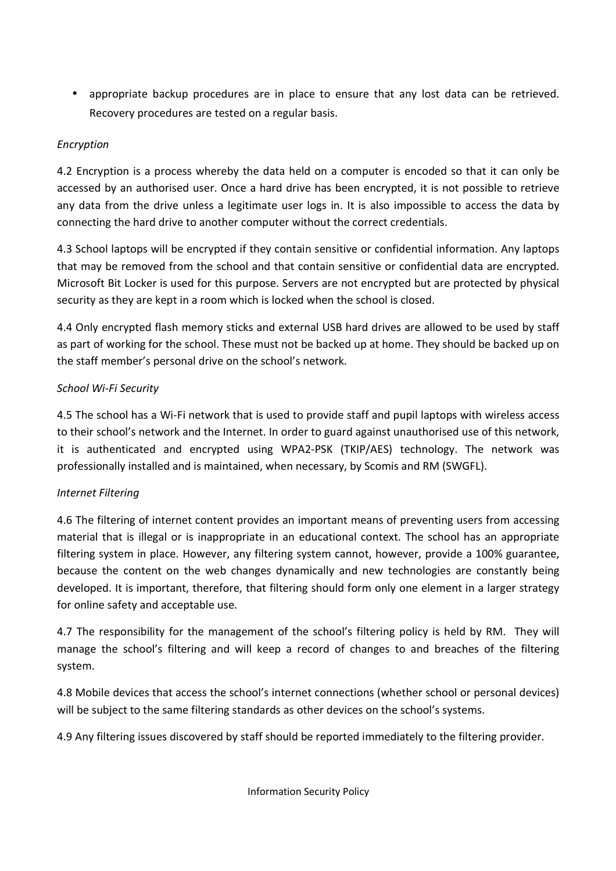• appropriate backup procedures are in place to ensure that any lost data can be retrieved. Recovery procedures are tested on a regular basis.

## *Encryption*

4.2 Encryption is a process whereby the data held on a computer is encoded so that it can only be accessed by an authorised user. Once a hard drive has been encrypted, it is not possible to retrieve any data from the drive unless a legitimate user logs in. It is also impossible to access the data by connecting the hard drive to another computer without the correct credentials.

4.3 School laptops will be encrypted if they contain sensitive or confidential information. Any laptops that may be removed from the school and that contain sensitive or confidential data are encrypted. Microsoft Bit Locker is used for this purpose. Servers are not encrypted but are protected by physical security as they are kept in a room which is locked when the school is closed.

4.4 Only encrypted flash memory sticks and external USB hard drives are allowed to be used by staff as part of working for the school. These must not be backed up at home. They should be backed up on the staff member's personal drive on the school's network.

# *School Wi-Fi Security*

4.5 The school has a Wi-Fi network that is used to provide staff and pupil laptops with wireless access to their school's network and the Internet. In order to guard against unauthorised use of this network, it is authenticated and encrypted using WPA2-PSK (TKIP/AES) technology. The network was professionally installed and is maintained, when necessary, by Scomis and RM (SWGFL).

# *Internet Filtering*

4.6 The filtering of internet content provides an important means of preventing users from accessing material that is illegal or is inappropriate in an educational context. The school has an appropriate filtering system in place. However, any filtering system cannot, however, provide a 100% guarantee, because the content on the web changes dynamically and new technologies are constantly being developed. It is important, therefore, that filtering should form only one element in a larger strategy for online safety and acceptable use.

4.7 The responsibility for the management of the school's filtering policy is held by RM. They will manage the school's filtering and will keep a record of changes to and breaches of the filtering system.

4.8 Mobile devices that access the school's internet connections (whether school or personal devices) will be subject to the same filtering standards as other devices on the school's systems.

4.9 Any filtering issues discovered by staff should be reported immediately to the filtering provider.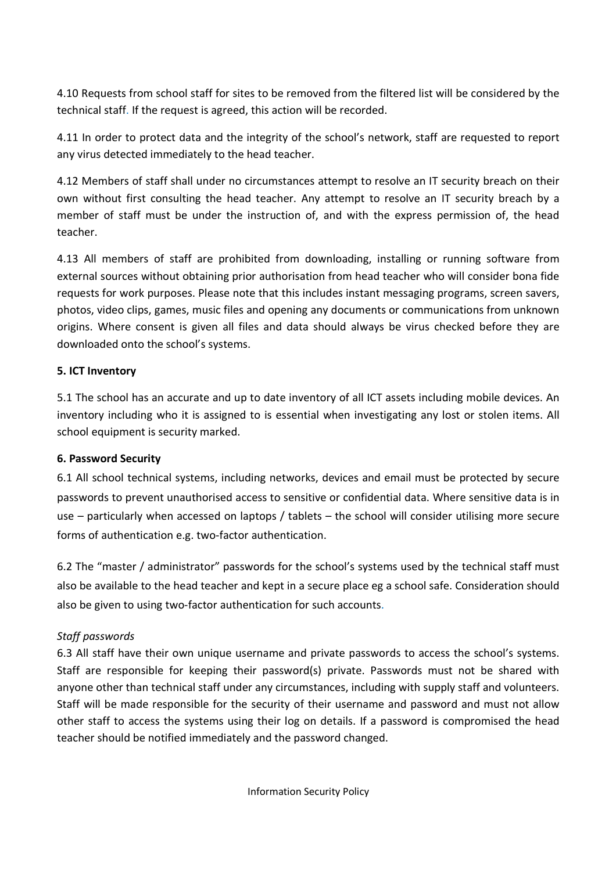4.10 Requests from school staff for sites to be removed from the filtered list will be considered by the technical staff. If the request is agreed, this action will be recorded.

4.11 In order to protect data and the integrity of the school's network, staff are requested to report any virus detected immediately to the head teacher.

4.12 Members of staff shall under no circumstances attempt to resolve an IT security breach on their own without first consulting the head teacher. Any attempt to resolve an IT security breach by a member of staff must be under the instruction of, and with the express permission of, the head teacher.

4.13 All members of staff are prohibited from downloading, installing or running software from external sources without obtaining prior authorisation from head teacher who will consider bona fide requests for work purposes. Please note that this includes instant messaging programs, screen savers, photos, video clips, games, music files and opening any documents or communications from unknown origins. Where consent is given all files and data should always be virus checked before they are downloaded onto the school's systems.

# **5. ICT Inventory**

5.1 The school has an accurate and up to date inventory of all ICT assets including mobile devices. An inventory including who it is assigned to is essential when investigating any lost or stolen items. All school equipment is security marked.

### **6. Password Security**

6.1 All school technical systems, including networks, devices and email must be protected by secure passwords to prevent unauthorised access to sensitive or confidential data. Where sensitive data is in use – particularly when accessed on laptops / tablets – the school will consider utilising more secure forms of authentication e.g. two-factor authentication.

6.2 The "master / administrator" passwords for the school's systems used by the technical staff must also be available to the head teacher and kept in a secure place eg a school safe. Consideration should also be given to using two-factor authentication for such accounts.

# *Staff passwords*

6.3 All staff have their own unique username and private passwords to access the school's systems. Staff are responsible for keeping their password(s) private. Passwords must not be shared with anyone other than technical staff under any circumstances, including with supply staff and volunteers. Staff will be made responsible for the security of their username and password and must not allow other staff to access the systems using their log on details. If a password is compromised the head teacher should be notified immediately and the password changed.

Information Security Policy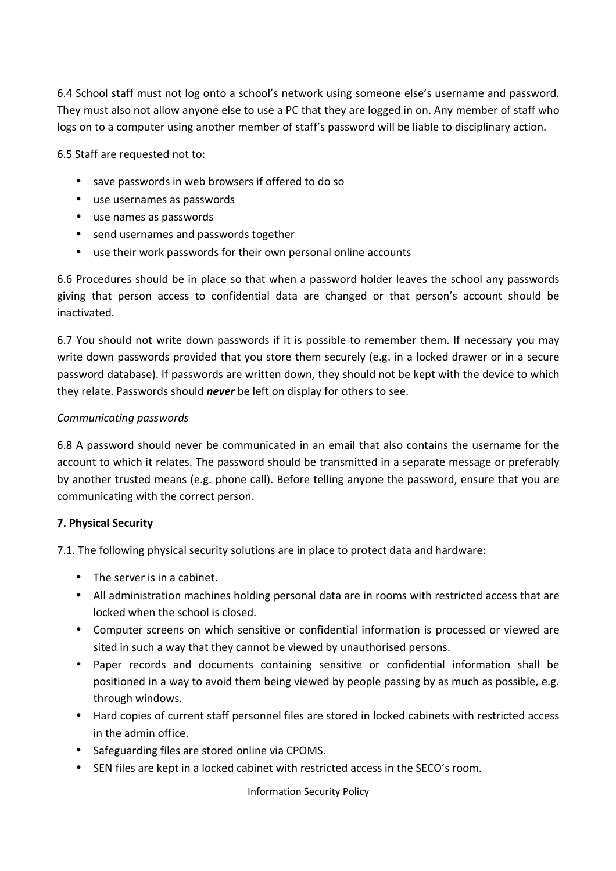6.4 School staff must not log onto a school's network using someone else's username and password. They must also not allow anyone else to use a PC that they are logged in on. Any member of staff who logs on to a computer using another member of staff's password will be liable to disciplinary action.

6.5 Staff are requested not to:

- save passwords in web browsers if offered to do so
- use usernames as passwords
- use names as passwords
- send usernames and passwords together
- use their work passwords for their own personal online accounts

6.6 Procedures should be in place so that when a password holder leaves the school any passwords giving that person access to confidential data are changed or that person's account should be inactivated.

6.7 You should not write down passwords if it is possible to remember them. If necessary you may write down passwords provided that you store them securely (e.g. in a locked drawer or in a secure password database). If passwords are written down, they should not be kept with the device to which they relate. Passwords should *never* be left on display for others to see.

#### *Communicating passwords*

6.8 A password should never be communicated in an email that also contains the username for the account to which it relates. The password should be transmitted in a separate message or preferably by another trusted means (e.g. phone call). Before telling anyone the password, ensure that you are communicating with the correct person.

#### **7. Physical Security**

7.1. The following physical security solutions are in place to protect data and hardware:

- The server is in a cabinet.
- All administration machines holding personal data are in rooms with restricted access that are locked when the school is closed.
- Computer screens on which sensitive or confidential information is processed or viewed are sited in such a way that they cannot be viewed by unauthorised persons.
- Paper records and documents containing sensitive or confidential information shall be positioned in a way to avoid them being viewed by people passing by as much as possible, e.g. through windows.
- Hard copies of current staff personnel files are stored in locked cabinets with restricted access in the admin office.
- Safeguarding files are stored online via CPOMS.
- SEN files are kept in a locked cabinet with restricted access in the SECO's room.

Information Security Policy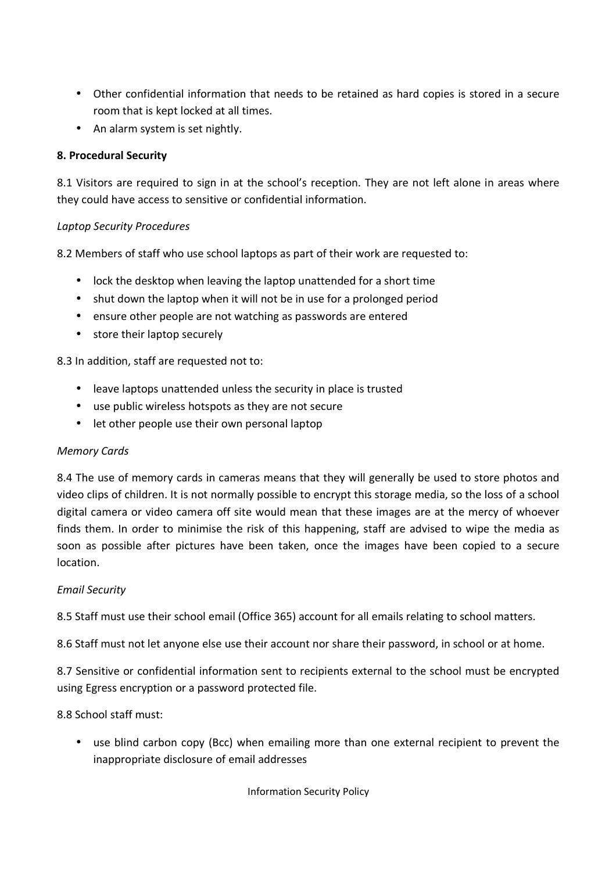- Other confidential information that needs to be retained as hard copies is stored in a secure room that is kept locked at all times.
- An alarm system is set nightly.

### **8. Procedural Security**

8.1 Visitors are required to sign in at the school's reception. They are not left alone in areas where they could have access to sensitive or confidential information.

### *Laptop Security Procedures*

8.2 Members of staff who use school laptops as part of their work are requested to:

- lock the desktop when leaving the laptop unattended for a short time
- shut down the laptop when it will not be in use for a prolonged period
- ensure other people are not watching as passwords are entered
- store their laptop securely

8.3 In addition, staff are requested not to:

- leave laptops unattended unless the security in place is trusted
- use public wireless hotspots as they are not secure
- let other people use their own personal laptop

#### *Memory Cards*

8.4 The use of memory cards in cameras means that they will generally be used to store photos and video clips of children. It is not normally possible to encrypt this storage media, so the loss of a school digital camera or video camera off site would mean that these images are at the mercy of whoever finds them. In order to minimise the risk of this happening, staff are advised to wipe the media as soon as possible after pictures have been taken, once the images have been copied to a secure location.

### *Email Security*

8.5 Staff must use their school email (Office 365) account for all emails relating to school matters.

8.6 Staff must not let anyone else use their account nor share their password, in school or at home.

8.7 Sensitive or confidential information sent to recipients external to the school must be encrypted using Egress encryption or a password protected file.

8.8 School staff must:

• use blind carbon copy (Bcc) when emailing more than one external recipient to prevent the inappropriate disclosure of email addresses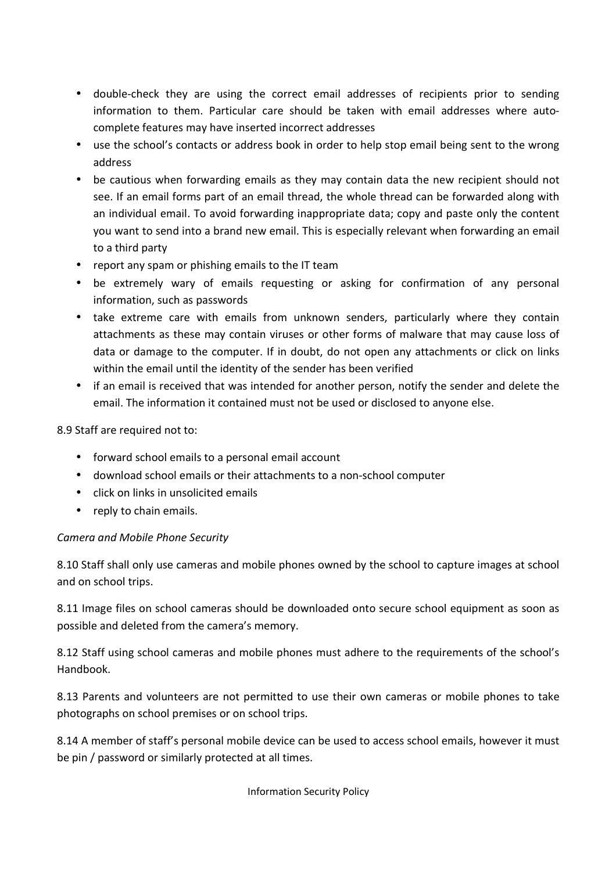- double-check they are using the correct email addresses of recipients prior to sending information to them. Particular care should be taken with email addresses where autocomplete features may have inserted incorrect addresses
- use the school's contacts or address book in order to help stop email being sent to the wrong address
- be cautious when forwarding emails as they may contain data the new recipient should not see. If an email forms part of an email thread, the whole thread can be forwarded along with an individual email. To avoid forwarding inappropriate data; copy and paste only the content you want to send into a brand new email. This is especially relevant when forwarding an email to a third party
- report any spam or phishing emails to the IT team
- be extremely wary of emails requesting or asking for confirmation of any personal information, such as passwords
- take extreme care with emails from unknown senders, particularly where they contain attachments as these may contain viruses or other forms of malware that may cause loss of data or damage to the computer. If in doubt, do not open any attachments or click on links within the email until the identity of the sender has been verified
- if an email is received that was intended for another person, notify the sender and delete the email. The information it contained must not be used or disclosed to anyone else.

8.9 Staff are required not to:

- forward school emails to a personal email account
- download school emails or their attachments to a non-school computer
- click on links in unsolicited emails
- reply to chain emails.

### *Camera and Mobile Phone Security*

8.10 Staff shall only use cameras and mobile phones owned by the school to capture images at school and on school trips.

8.11 Image files on school cameras should be downloaded onto secure school equipment as soon as possible and deleted from the camera's memory.

8.12 Staff using school cameras and mobile phones must adhere to the requirements of the school's Handbook.

8.13 Parents and volunteers are not permitted to use their own cameras or mobile phones to take photographs on school premises or on school trips.

8.14 A member of staff's personal mobile device can be used to access school emails, however it must be pin / password or similarly protected at all times.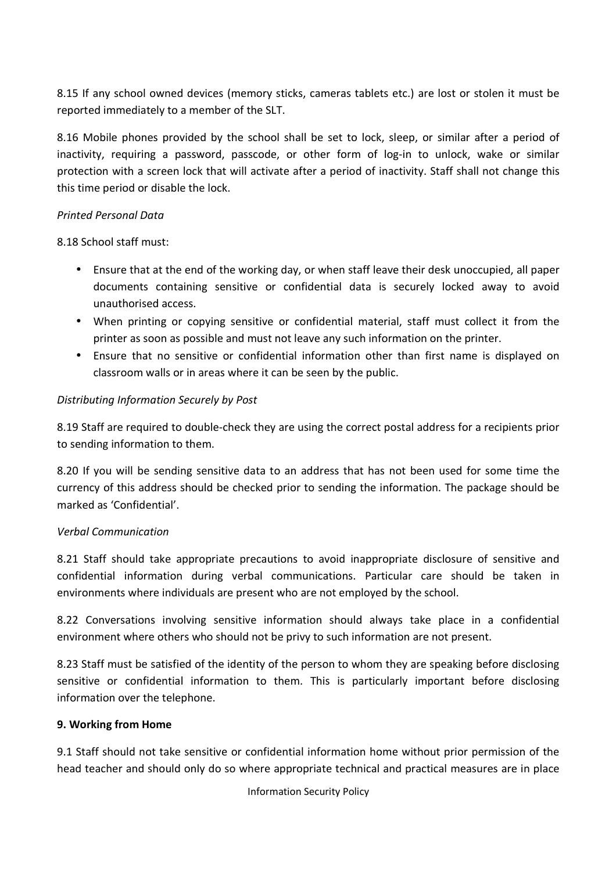8.15 If any school owned devices (memory sticks, cameras tablets etc.) are lost or stolen it must be reported immediately to a member of the SLT.

8.16 Mobile phones provided by the school shall be set to lock, sleep, or similar after a period of inactivity, requiring a password, passcode, or other form of log-in to unlock, wake or similar protection with a screen lock that will activate after a period of inactivity. Staff shall not change this this time period or disable the lock.

## *Printed Personal Data*

8.18 School staff must:

- Ensure that at the end of the working day, or when staff leave their desk unoccupied, all paper documents containing sensitive or confidential data is securely locked away to avoid unauthorised access.
- When printing or copying sensitive or confidential material, staff must collect it from the printer as soon as possible and must not leave any such information on the printer.
- Ensure that no sensitive or confidential information other than first name is displayed on classroom walls or in areas where it can be seen by the public.

# *Distributing Information Securely by Post*

8.19 Staff are required to double-check they are using the correct postal address for a recipients prior to sending information to them.

8.20 If you will be sending sensitive data to an address that has not been used for some time the currency of this address should be checked prior to sending the information. The package should be marked as 'Confidential'.

### *Verbal Communication*

8.21 Staff should take appropriate precautions to avoid inappropriate disclosure of sensitive and confidential information during verbal communications. Particular care should be taken in environments where individuals are present who are not employed by the school.

8.22 Conversations involving sensitive information should always take place in a confidential environment where others who should not be privy to such information are not present.

8.23 Staff must be satisfied of the identity of the person to whom they are speaking before disclosing sensitive or confidential information to them. This is particularly important before disclosing information over the telephone.

### **9. Working from Home**

9.1 Staff should not take sensitive or confidential information home without prior permission of the head teacher and should only do so where appropriate technical and practical measures are in place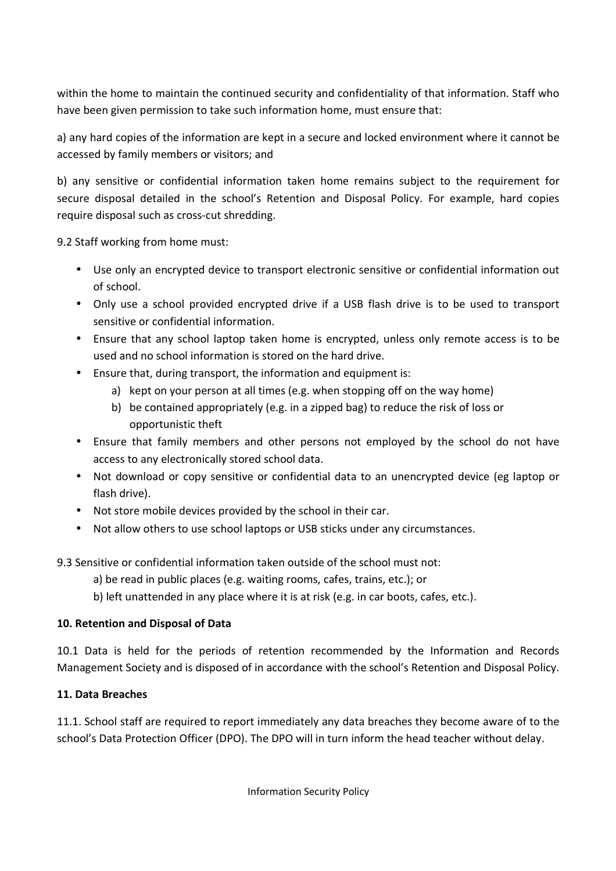within the home to maintain the continued security and confidentiality of that information. Staff who have been given permission to take such information home, must ensure that:

a) any hard copies of the information are kept in a secure and locked environment where it cannot be accessed by family members or visitors; and

b) any sensitive or confidential information taken home remains subject to the requirement for secure disposal detailed in the school's Retention and Disposal Policy. For example, hard copies require disposal such as cross-cut shredding.

9.2 Staff working from home must:

- Use only an encrypted device to transport electronic sensitive or confidential information out of school.
- Only use a school provided encrypted drive if a USB flash drive is to be used to transport sensitive or confidential information.
- Ensure that any school laptop taken home is encrypted, unless only remote access is to be used and no school information is stored on the hard drive.
- Ensure that, during transport, the information and equipment is:
	- a) kept on your person at all times (e.g. when stopping off on the way home)
	- b) be contained appropriately (e.g. in a zipped bag) to reduce the risk of loss or opportunistic theft
- Ensure that family members and other persons not employed by the school do not have access to any electronically stored school data.
- Not download or copy sensitive or confidential data to an unencrypted device (eg laptop or flash drive).
- Not store mobile devices provided by the school in their car.
- Not allow others to use school laptops or USB sticks under any circumstances.

9.3 Sensitive or confidential information taken outside of the school must not:

- a) be read in public places (e.g. waiting rooms, cafes, trains, etc.); or
- b) left unattended in any place where it is at risk (e.g. in car boots, cafes, etc.).

# **10. Retention and Disposal of Data**

10.1 Data is held for the periods of retention recommended by the Information and Records Management Society and is disposed of in accordance with the school's Retention and Disposal Policy.

# **11. Data Breaches**

11.1. School staff are required to report immediately any data breaches they become aware of to the school's Data Protection Officer (DPO). The DPO will in turn inform the head teacher without delay.